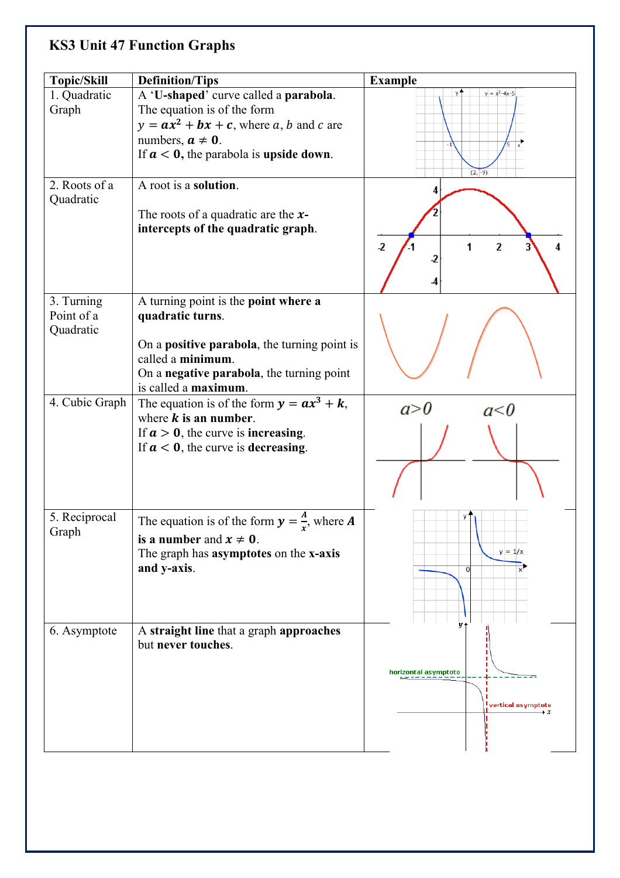## **KS3 Unit 47 Function Graphs**

| <b>Topic/Skill</b>      | <b>Definition/Tips</b>                                                    | <b>Example</b>                                               |
|-------------------------|---------------------------------------------------------------------------|--------------------------------------------------------------|
| 1. Quadratic            | A 'U-shaped' curve called a parabola.                                     | $y = x^2 - 4x - 5$                                           |
| Graph                   | The equation is of the form<br>$y = ax^2 + bx + c$ , where a, b and c are |                                                              |
|                         | numbers, $a \neq 0$ .                                                     |                                                              |
|                         | If $a < 0$ , the parabola is upside down.                                 | $(2, -9)$                                                    |
| 2. Roots of a           | A root is a solution.                                                     |                                                              |
| Quadratic               | The roots of a quadratic are the $x$ -                                    |                                                              |
|                         | intercepts of the quadratic graph.                                        |                                                              |
|                         |                                                                           | $\overline{\mathbf{2}}$<br>$\overline{\mathbf{2}}$<br>1<br>4 |
|                         |                                                                           | -2                                                           |
| 3. Turning              | A turning point is the point where a                                      |                                                              |
| Point of a<br>Quadratic | quadratic turns.                                                          |                                                              |
|                         | On a positive parabola, the turning point is                              |                                                              |
|                         | called a minimum.<br>On a negative parabola, the turning point            |                                                              |
|                         | is called a maximum.                                                      |                                                              |
| 4. Cubic Graph          | The equation is of the form $y = ax^3 + k$ ,                              | a > b<br>a<0                                                 |
|                         | where $k$ is an number.<br>If $a > 0$ , the curve is <b>increasing</b> .  |                                                              |
|                         | If $a < 0$ , the curve is decreasing.                                     |                                                              |
|                         |                                                                           |                                                              |
|                         |                                                                           |                                                              |
| 5. Reciprocal           | The equation is of the form $y = \frac{A}{x}$ , where A                   |                                                              |
| Graph                   | is a number and $x \neq 0$ .                                              |                                                              |
|                         | The graph has <b>asymptotes</b> on the <b>x-axis</b><br>and y-axis.       | $y = 1/x$<br>$\Omega$                                        |
|                         |                                                                           |                                                              |
|                         |                                                                           |                                                              |
| 6. Asymptote            | A straight line that a graph approaches                                   |                                                              |
|                         | but never touches.                                                        |                                                              |
|                         |                                                                           | horizontal asymptote                                         |
|                         |                                                                           |                                                              |
|                         |                                                                           | vertical asymptote!<br>$\rightarrow x$                       |
|                         |                                                                           |                                                              |
|                         |                                                                           |                                                              |